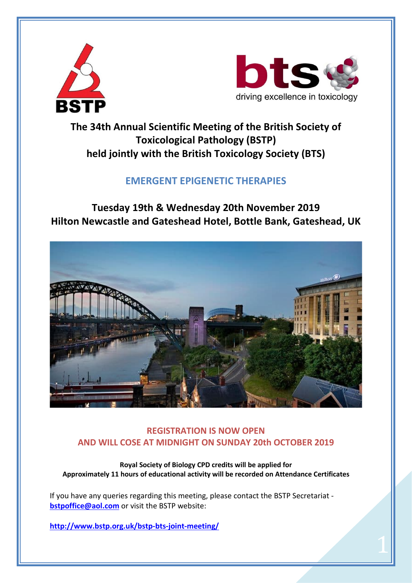



 $\overline{1}$ 

### **The 34th Annual Scientific Meeting of the British Society of Toxicological Pathology (BSTP) held jointly with the British Toxicology Society (BTS)**

### **EMERGENT EPIGENETIC THERAPIES**

**Tuesday 19th & Wednesday 20th November 2019 Hilton Newcastle and Gateshead Hotel, Bottle Bank, Gateshead, UK**



### **REGISTRATION IS NOW OPEN AND WILL COSE AT MIDNIGHT ON SUNDAY 20th OCTOBER 2019**

**Royal Society of Biology CPD credits will be applied for Approximately 11 hours of educational activity will be recorded on Attendance Certificates**

If you have any queries regarding this meeting, please contact the BSTP Secretariat **[bstpoffice@aol.com](mailto:bstpoffice@aol.com)** or visit the BSTP website:

**<http://www.bstp.org.uk/bstp-bts-joint-meeting/>**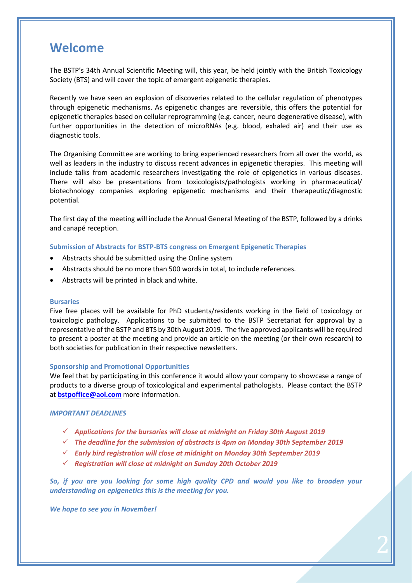### **Welcome**

The BSTP's 34th Annual Scientific Meeting will, this year, be held jointly with the British Toxicology Society (BTS) and will cover the topic of emergent epigenetic therapies.

Recently we have seen an explosion of discoveries related to the cellular regulation of phenotypes through epigenetic mechanisms. As epigenetic changes are reversible, this offers the potential for epigenetic therapies based on cellular reprogramming (e.g. cancer, neuro degenerative disease), with further opportunities in the detection of microRNAs (e.g. blood, exhaled air) and their use as diagnostic tools.

The Organising Committee are working to bring experienced researchers from all over the world, as well as leaders in the industry to discuss recent advances in epigenetic therapies. This meeting will include talks from academic researchers investigating the role of epigenetics in various diseases. There will also be presentations from toxicologists/pathologists working in pharmaceutical/ biotechnology companies exploring epigenetic mechanisms and their therapeutic/diagnostic potential.

The first day of the meeting will include the Annual General Meeting of the BSTP, followed by a drinks and canapé reception.

#### **Submission of Abstracts for BSTP-BTS congress on Emergent Epigenetic Therapies**

- Abstracts should be submitted using the Online system
- Abstracts should be no more than 500 words in total, to include references.
- Abstracts will be printed in black and white.

#### **Bursaries**

Five free places will be available for PhD students/residents working in the field of toxicology or toxicologic pathology. Applications to be submitted to the BSTP Secretariat for approval by a representative of the BSTP and BTS by 30th August 2019. The five approved applicants will be required to present a poster at the meeting and provide an article on the meeting (or their own research) to both societies for publication in their respective newsletters.

#### **Sponsorship and Promotional Opportunities**

We feel that by participating in this conference it would allow your company to showcase a range of products to a diverse group of toxicological and experimental pathologists. Please contact the BSTP at **[bstpoffice@aol.com](mailto:bstpoffice@aol.com)** more information.

#### *IMPORTANT DEADLINES*

- *Applications for the bursaries will close at midnight on Friday 30th August 2019*
- *The deadline for the submission of abstracts is 4pm on Monday 30th September 2019*
- *Early bird registration will close at midnight on Monday 30th September 2019*
- *Registration will close at midnight on Sunday 20th October 2019*

*So, if you are you looking for some high quality CPD and would you like to broaden your understanding on epigenetics this is the meeting for you.*

2

*We hope to see you in November!*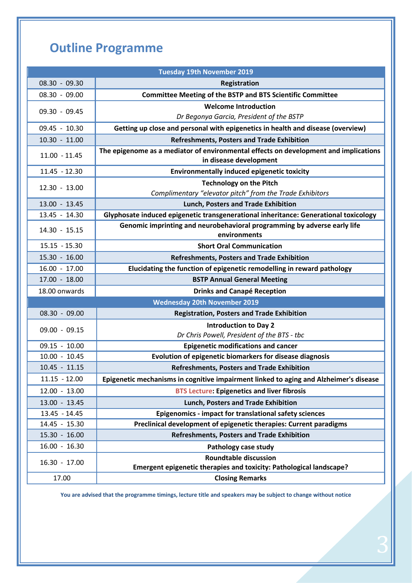# **Outline Programme**

| <b>Tuesday 19th November 2019</b>   |                                                                                          |  |  |  |  |
|-------------------------------------|------------------------------------------------------------------------------------------|--|--|--|--|
| $08.30 - 09.30$                     | Registration                                                                             |  |  |  |  |
| $08.30 - 09.00$                     | <b>Committee Meeting of the BSTP and BTS Scientific Committee</b>                        |  |  |  |  |
| 09.30 - 09.45                       | <b>Welcome Introduction</b>                                                              |  |  |  |  |
|                                     | Dr Begonya Garcia, President of the BSTP                                                 |  |  |  |  |
| 09.45 - 10.30                       | Getting up close and personal with epigenetics in health and disease (overview)          |  |  |  |  |
| $10.30 - 11.00$                     | <b>Refreshments, Posters and Trade Exhibition</b>                                        |  |  |  |  |
| $11.00 - 11.45$                     | The epigenome as a mediator of environmental effects on development and implications     |  |  |  |  |
|                                     | in disease development                                                                   |  |  |  |  |
| 11.45 - 12.30                       | <b>Environmentally induced epigenetic toxicity</b>                                       |  |  |  |  |
| $12.30 - 13.00$                     | <b>Technology on the Pitch</b>                                                           |  |  |  |  |
|                                     | Complimentary "elevator pitch" from the Trade Exhibitors                                 |  |  |  |  |
| $13.00 - 13.45$                     | Lunch, Posters and Trade Exhibition                                                      |  |  |  |  |
| 13.45 - 14.30                       | Glyphosate induced epigenetic transgenerational inheritance: Generational toxicology     |  |  |  |  |
| 14.30 - 15.15                       | Genomic imprinting and neurobehavioral programming by adverse early life<br>environments |  |  |  |  |
| $15.15 - 15.30$                     | <b>Short Oral Communication</b>                                                          |  |  |  |  |
| $15.30 - 16.00$                     | <b>Refreshments, Posters and Trade Exhibition</b>                                        |  |  |  |  |
| $16.00 - 17.00$                     | Elucidating the function of epigenetic remodelling in reward pathology                   |  |  |  |  |
| $17.00 - 18.00$                     | <b>BSTP Annual General Meeting</b>                                                       |  |  |  |  |
| 18.00 onwards                       | <b>Drinks and Canapé Reception</b>                                                       |  |  |  |  |
| <b>Wednesday 20th November 2019</b> |                                                                                          |  |  |  |  |
| $08.30 - 09.00$                     | <b>Registration, Posters and Trade Exhibition</b>                                        |  |  |  |  |
| $09.00 - 09.15$                     | <b>Introduction to Day 2</b>                                                             |  |  |  |  |
|                                     | Dr Chris Powell, President of the BTS - tbc                                              |  |  |  |  |
| 09.15 - 10.00                       | <b>Epigenetic modifications and cancer</b>                                               |  |  |  |  |
| $10.00 - 10.45$                     | Evolution of epigenetic biomarkers for disease diagnosis                                 |  |  |  |  |
| $10.45 - 11.15$                     | <b>Refreshments, Posters and Trade Exhibition</b>                                        |  |  |  |  |
| $11.15 - 12.00$                     | Epigenetic mechanisms in cognitive impairment linked to aging and Alzheimer's disease    |  |  |  |  |
| $12.00 - 13.00$                     | <b>BTS Lecture: Epigenetics and liver fibrosis</b>                                       |  |  |  |  |
| $13.00 - 13.45$                     | Lunch, Posters and Trade Exhibition                                                      |  |  |  |  |
| 13.45 - 14.45                       | Epigenomics - impact for translational safety sciences                                   |  |  |  |  |
| 14.45 - 15.30                       | Preclinical development of epigenetic therapies: Current paradigms                       |  |  |  |  |
| $15.30 - 16.00$                     | <b>Refreshments, Posters and Trade Exhibition</b>                                        |  |  |  |  |
| $16.00 - 16.30$                     | Pathology case study                                                                     |  |  |  |  |
| $16.30 - 17.00$                     | <b>Roundtable discussion</b>                                                             |  |  |  |  |
|                                     | Emergent epigenetic therapies and toxicity: Pathological landscape?                      |  |  |  |  |
| 17.00                               | <b>Closing Remarks</b>                                                                   |  |  |  |  |

**You are advised that the programme timings, lecture title and speakers may be subject to change without notice**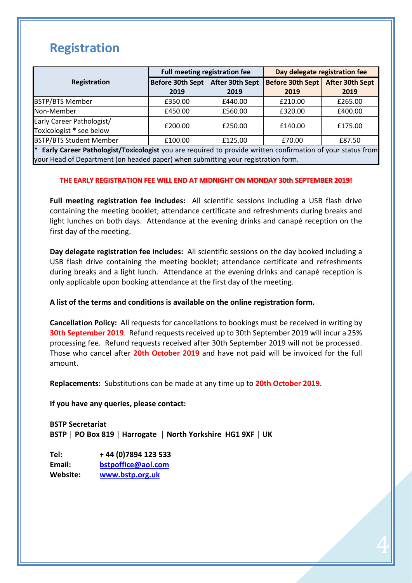# **Registration**

|                                                       | Full meeting registration fee |                 | Day delegate registration fee |                        |
|-------------------------------------------------------|-------------------------------|-----------------|-------------------------------|------------------------|
| Registration                                          | <b>Before 30th Sept</b>       | After 30th Sept | <b>Before 30th Sept</b>       | <b>After 30th Sept</b> |
|                                                       | 2019                          | 2019            | 2019                          | 2019                   |
| <b>BSTP/BTS Member</b>                                | £350.00                       | £440.00         | £210.00                       | £265.00                |
| Non-Member                                            | £450.00                       | £560.00         | £320.00                       | £400.00                |
| Early Career Pathologist/<br>Toxicologist * see below | £200.00                       | £250.00         | £140.00                       | £175.00                |
| <b>BSTP/BTS Student Member</b>                        | £100.00                       | £125.00         | £70.00                        | £87.50                 |

**\* Early Career Pathologist/Toxicologist** you are required to provide written confirmation of your status from your Head of Department (on headed paper) when submitting your registration form.

### **THE EARLY REGISTRATION FEE WILL END AT MIDNIGHT ON MONDAY 30th SEPTEMBER 2019!**

**Full meeting registration fee includes:** All scientific sessions including a USB flash drive containing the meeting booklet; attendance certificate and refreshments during breaks and light lunches on both days. Attendance at the evening drinks and canapé reception on the first day of the meeting.

**Day delegate registration fee includes:** All scientific sessions on the day booked including a USB flash drive containing the meeting booklet; attendance certificate and refreshments during breaks and a light lunch. Attendance at the evening drinks and canapé reception is only applicable upon booking attendance at the first day of the meeting.

### **A list of the terms and conditions is available on the online registration form.**

**Cancellation Policy:** All requests for cancellations to bookings must be received in writing by **30th September 2019**. Refund requests received up to 30th September 2019 will incur a 25% processing fee. Refund requests received after 30th September 2019 will not be processed. Those who cancel after **20th October 2019** and have not paid will be invoiced for the full amount.

**Replacements:** Substitutions can be made at any time up to **20th October 2019**.

**If you have any queries, please contact:** 

**BSTP Secretariat BSTP │ PO Box 819 │ Harrogate │ North Yorkshire HG1 9XF │ UK**

**Tel: + 44 (0)7894 123 533 Email: [bstpoffice@aol.com](mailto:bstopffice@aol.com) Website: [www.bstp.org.uk](http://www.bstp.org.uk/)**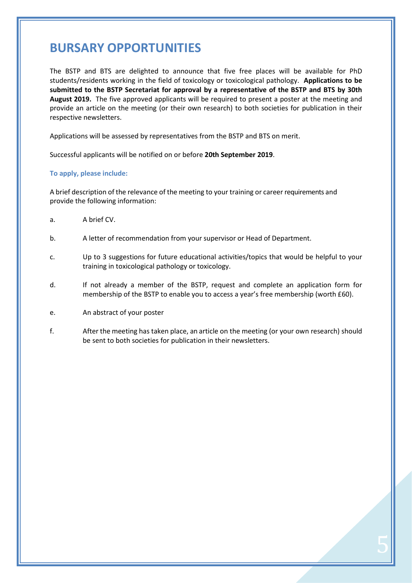# **BURSARY OPPORTUNITIES**

The BSTP and BTS are delighted to announce that five free places will be available for PhD students/residents working in the field of toxicology or toxicological pathology. **Applications to be submitted to the BSTP Secretariat for approval by a representative of the BSTP and BTS by 30th August 2019.** The five approved applicants will be required to present a poster at the meeting and provide an article on the meeting (or their own research) to both societies for publication in their respective newsletters.

Applications will be assessed by representatives from the BSTP and BTS on merit.

Successful applicants will be notified on or before **20th September 2019**.

### **To apply, please include:**

A brief description of the relevance of the meeting to your training or career requirements and provide the following information:

- a. A brief CV.
- b. A letter of recommendation from your supervisor or Head of Department.
- c. Up to 3 suggestions for future educational activities/topics that would be helpful to your training in toxicological pathology or toxicology.
- d. If not already a member of the BSTP, request and complete an application form for membership of the BSTP to enable you to access a year's free membership (worth £60).
- e. An abstract of your poster
- f. After the meeting has taken place, an article on the meeting (or your own research) should be sent to both societies for publication in their newsletters.

5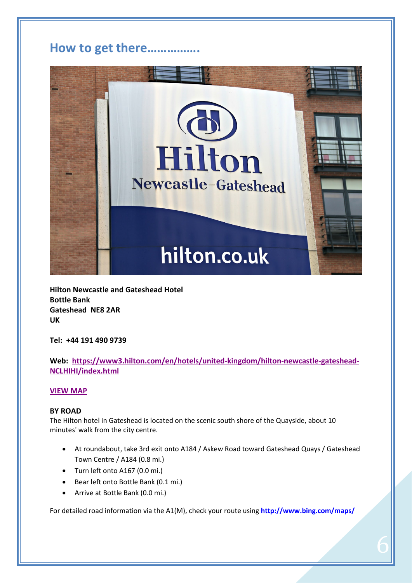### **How to get there…………….**



**Hilton Newcastle and Gateshead Hotel Bottle Bank Gateshead NE8 2AR UK**

**Tel: +44 191 490 9739**

### **Web: [https://www3.hilton.com/en/hotels/united-kingdom/hilton-newcastle-gateshead-](https://www3.hilton.com/en/hotels/united-kingdom/hilton-newcastle-gateshead-NCLHIHI/index.html)[NCLHIHI/index.html](https://www3.hilton.com/en/hotels/united-kingdom/hilton-newcastle-gateshead-NCLHIHI/index.html)**

### **[VIEW MAP](https://www.google.com/maps/place/54%C2%B057)**

### **BY ROAD**

The Hilton hotel in Gateshead is located on the scenic south shore of the Quayside, about 10 minutes' walk from the city centre.

- At roundabout, take 3rd exit onto A184 / Askew Road toward Gateshead Quays / Gateshead Town Centre / A184 (0.8 mi.)
- Turn left onto A167 (0.0 mi.)
- Bear left onto Bottle Bank (0.1 mi.)
- Arrive at Bottle Bank (0.0 mi.)

For detailed road information via the A1(M), check your route using **<http://www.bing.com/maps/>**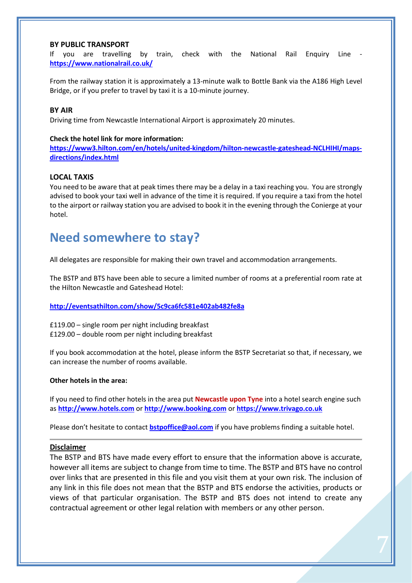### **BY PUBLIC TRANSPORT**

If you are travelling by train, check with the National Rail Enquiry Line **<https://www.nationalrail.co.uk/>**

From the railway station it is approximately a 13-minute walk to Bottle Bank via the A186 High Level Bridge, or if you prefer to travel by taxi it is a 10-minute journey.

### **BY AIR**

Driving time from Newcastle International Airport is approximately 20 minutes.

### **Check the hotel link for more information:**

**[https://www3.hilton.com/en/hotels/united-kingdom/hilton-newcastle-gateshead-NCLHIHI/maps](https://www3.hilton.com/en/hotels/united-kingdom/hilton-newcastle-gateshead-NCLHIHI/maps-directions/index.html)[directions/index.html](https://www3.hilton.com/en/hotels/united-kingdom/hilton-newcastle-gateshead-NCLHIHI/maps-directions/index.html)**

### **LOCAL TAXIS**

You need to be aware that at peak times there may be a delay in a taxi reaching you. You are strongly advised to book your taxi well in advance of the time it is required. If you require a taxi from the hotel to the airport or railway station you are advised to book it in the evening through the Conierge at your hotel.

### **Need somewhere to stay?**

All delegates are responsible for making their own travel and accommodation arrangements.

The BSTP and BTS have been able to secure a limited number of rooms at a preferential room rate at the Hilton Newcastle and Gateshead Hotel:

### **<http://eventsathilton.com/show/5c9ca6fc581e402ab482fe8a>**

£119.00 – single room per night including breakfast £129.00 – double room per night including breakfast

If you book accommodation at the hotel, please inform the BSTP Secretariat so that, if necessary, we can increase the number of rooms available.

#### **Other hotels in the area:**

If you need to find other hotels in the area put **Newcastle upon Tyne** into a hotel search engine such as **[http://www.hotels.com](http://www.hotels.com/)** or **[http://www.booking.com](http://www.booking.com/)** or **[https://www.trivago.co.uk](https://www.trivago.co.uk/)**

Please don't hesitate to contact **[bstpoffice@aol.com](mailto:bstpoffice@aol.com)** if you have problems finding a suitable hotel.

#### **Disclaimer**

The BSTP and BTS have made every effort to ensure that the information above is accurate, however all items are subject to change from time to time. The BSTP and BTS have no control over links that are presented in this file and you visit them at your own risk. The inclusion of any link in this file does not mean that the BSTP and BTS endorse the activities, products or views of that particular organisation. The BSTP and BTS does not intend to create any contractual agreement or other legal relation with members or any other person.

 $\frac{1}{2}$